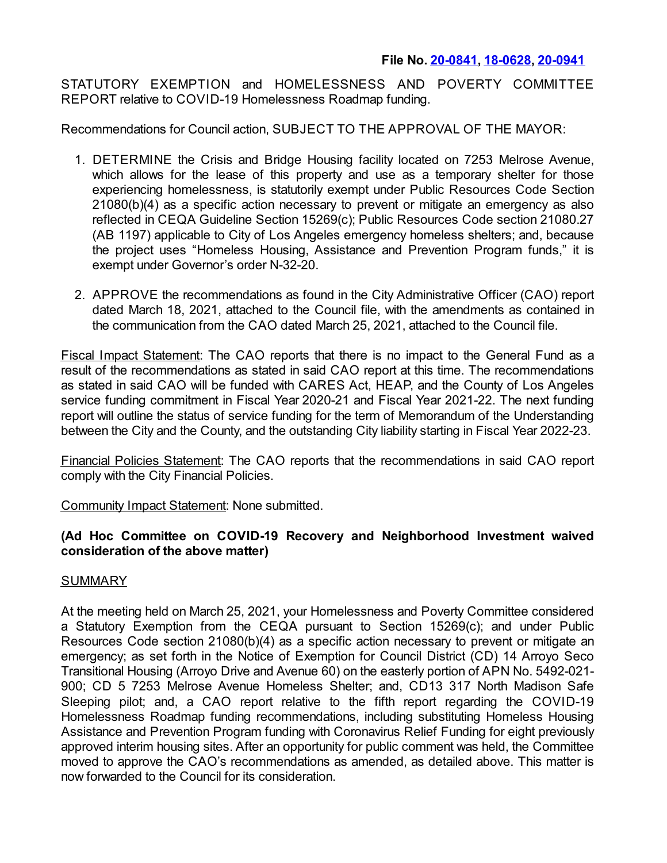## **File No. [20-0841](https://cityclerk.lacity.org/lacityclerkconnect/index.cfm?fa=ccfi.viewrecord&cfnumber=20-0841), [18-0628](https://cityclerk.lacity.org/lacityclerkconnect/index.cfm?fa=ccfi.viewrecord&cfnumber=18-0628), [20-0941](https://cityclerk.lacity.org/lacityclerkconnect/index.cfm?fa=ccfi.viewrecord&cfnumber=20-0941)**

STATUTORY EXEMPTION and HOMELESSNESS AND POVERTY COMMITTEE REPORT relative to COVID-19 Homelessness Roadmap funding.

Recommendations for Council action, SUBJECT TO THE APPROVAL OF THE MAYOR:

- 1. DETERMINE the Crisis and Bridge Housing facility located on 7253 Melrose Avenue, which allows for the lease of this property and use as a temporary shelter for those experiencing homelessness, is statutorily exempt under Public Resources Code Section 21080(b)(4) as a specific action necessary to prevent or mitigate an emergency as also reflected in CEQA Guideline Section 15269(c); Public Resources Code section 21080.27 (AB 1197) applicable to City of Los Angeles emergency homeless shelters; and, because the project uses "Homeless Housing, Assistance and Prevention Program funds," it is exempt under Governor's order N-32-20.
- 2. APPROVE the recommendations as found in the City Administrative Officer (CAO) report dated March 18, 2021, attached to the Council file, with the amendments as contained in the communication from the CAO dated March 25, 2021, attached to the Council file.

Fiscal Impact Statement: The CAO reports that there is no impact to the General Fund as a result of the recommendations as stated in said CAO report at this time. The recommendations as stated in said CAO will be funded with CARES Act, HEAP, and the County of Los Angeles service funding commitment in Fiscal Year 2020-21 and Fiscal Year 2021-22. The next funding report will outline the status of service funding for the term of Memorandum of the Understanding between the City and the County, and the outstanding City liability starting in Fiscal Year 2022-23.

Financial Policies Statement: The CAO reports that the recommendations in said CAO report comply with the City Financial Policies.

Community Impact Statement: None submitted.

## **(Ad Hoc Committee on COVID-19 Recovery and Neighborhood Investment waived consideration of the above matter)**

## SUMMARY

At the meeting held on March 25, 2021, your Homelessness and Poverty Committee considered a Statutory Exemption from the CEQA pursuant to Section 15269(c); and under Public Resources Code section 21080(b)(4) as a specific action necessary to prevent or mitigate an emergency; as set forth in the Notice of Exemption for Council District (CD) 14 Arroyo Seco Transitional Housing (Arroyo Drive and Avenue 60) on the easterly portion of APN No. 5492-021- 900; CD 5 7253 Melrose Avenue Homeless Shelter; and, CD13 317 North Madison Safe Sleeping pilot; and, a CAO report relative to the fifth report regarding the COVID-19 Homelessness Roadmap funding recommendations, including substituting Homeless Housing Assistance and Prevention Program funding with Coronavirus Relief Funding for eight previously approved interim housing sites. After an opportunity for public comment was held, the Committee moved to approve the CAO's recommendations as amended, as detailed above. This matter is now forwarded to the Council for its consideration.